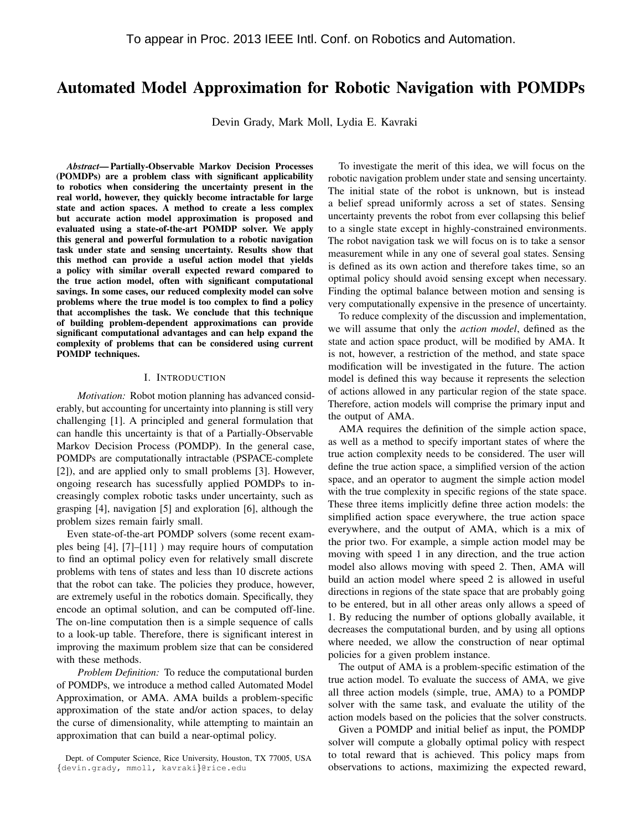# Automated Model Approximation for Robotic Navigation with POMDPs

Devin Grady, Mark Moll, Lydia E. Kavraki

*Abstract*— Partially-Observable Markov Decision Processes (POMDPs) are a problem class with significant applicability to robotics when considering the uncertainty present in the real world, however, they quickly become intractable for large state and action spaces. A method to create a less complex but accurate action model approximation is proposed and evaluated using a state-of-the-art POMDP solver. We apply this general and powerful formulation to a robotic navigation task under state and sensing uncertainty. Results show that this method can provide a useful action model that yields a policy with similar overall expected reward compared to the true action model, often with significant computational savings. In some cases, our reduced complexity model can solve problems where the true model is too complex to find a policy that accomplishes the task. We conclude that this technique of building problem-dependent approximations can provide significant computational advantages and can help expand the complexity of problems that can be considered using current POMDP techniques.

## I. INTRODUCTION

*Motivation:* Robot motion planning has advanced considerably, but accounting for uncertainty into planning is still very challenging [1]. A principled and general formulation that can handle this uncertainty is that of a Partially-Observable Markov Decision Process (POMDP). In the general case, POMDPs are computationally intractable (PSPACE-complete [2]), and are applied only to small problems [3]. However, ongoing research has sucessfully applied POMDPs to increasingly complex robotic tasks under uncertainty, such as grasping [4], navigation [5] and exploration [6], although the problem sizes remain fairly small.

Even state-of-the-art POMDP solvers (some recent examples being [4], [7]–[11] ) may require hours of computation to find an optimal policy even for relatively small discrete problems with tens of states and less than 10 discrete actions that the robot can take. The policies they produce, however, are extremely useful in the robotics domain. Specifically, they encode an optimal solution, and can be computed off-line. The on-line computation then is a simple sequence of calls to a look-up table. Therefore, there is significant interest in improving the maximum problem size that can be considered with these methods.

*Problem Definition:* To reduce the computational burden of POMDPs, we introduce a method called Automated Model Approximation, or AMA. AMA builds a problem-specific approximation of the state and/or action spaces, to delay the curse of dimensionality, while attempting to maintain an approximation that can build a near-optimal policy.

To investigate the merit of this idea, we will focus on the robotic navigation problem under state and sensing uncertainty. The initial state of the robot is unknown, but is instead a belief spread uniformly across a set of states. Sensing uncertainty prevents the robot from ever collapsing this belief to a single state except in highly-constrained environments. The robot navigation task we will focus on is to take a sensor measurement while in any one of several goal states. Sensing is defined as its own action and therefore takes time, so an optimal policy should avoid sensing except when necessary. Finding the optimal balance between motion and sensing is very computationally expensive in the presence of uncertainty.

To reduce complexity of the discussion and implementation, we will assume that only the *action model*, defined as the state and action space product, will be modified by AMA. It is not, however, a restriction of the method, and state space modification will be investigated in the future. The action model is defined this way because it represents the selection of actions allowed in any particular region of the state space. Therefore, action models will comprise the primary input and the output of AMA.

AMA requires the definition of the simple action space, as well as a method to specify important states of where the true action complexity needs to be considered. The user will define the true action space, a simplified version of the action space, and an operator to augment the simple action model with the true complexity in specific regions of the state space. These three items implicitly define three action models: the simplified action space everywhere, the true action space everywhere, and the output of AMA, which is a mix of the prior two. For example, a simple action model may be moving with speed 1 in any direction, and the true action model also allows moving with speed 2. Then, AMA will build an action model where speed 2 is allowed in useful directions in regions of the state space that are probably going to be entered, but in all other areas only allows a speed of 1. By reducing the number of options globally available, it decreases the computational burden, and by using all options where needed, we allow the construction of near optimal policies for a given problem instance.

The output of AMA is a problem-specific estimation of the true action model. To evaluate the success of AMA, we give all three action models (simple, true, AMA) to a POMDP solver with the same task, and evaluate the utility of the action models based on the policies that the solver constructs.

Given a POMDP and initial belief as input, the POMDP solver will compute a globally optimal policy with respect to total reward that is achieved. This policy maps from observations to actions, maximizing the expected reward,

Dept. of Computer Science, Rice University, Houston, TX 77005, USA {devin.grady, mmoll, kavraki}@rice.edu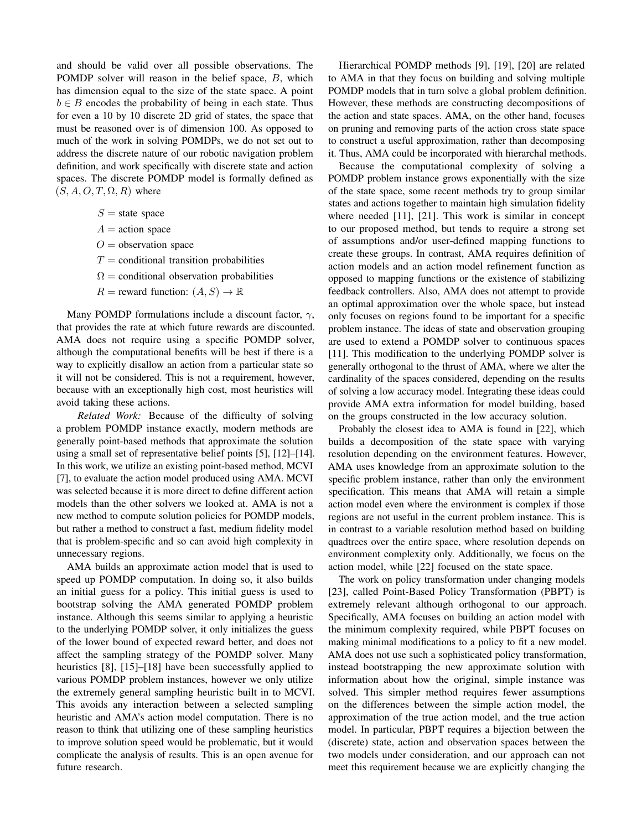and should be valid over all possible observations. The POMDP solver will reason in the belief space, B, which has dimension equal to the size of the state space. A point  $b \in B$  encodes the probability of being in each state. Thus for even a 10 by 10 discrete 2D grid of states, the space that must be reasoned over is of dimension 100. As opposed to much of the work in solving POMDPs, we do not set out to address the discrete nature of our robotic navigation problem definition, and work specifically with discrete state and action spaces. The discrete POMDP model is formally defined as  $(S, A, O, T, \Omega, R)$  where

- $S =$  state space
- $A =$  action space
- $O =$  observation space
- $T =$  conditional transition probabilities
- $\Omega$  = conditional observation probabilities
- $R$  = reward function:  $(A, S) \rightarrow \mathbb{R}$

Many POMDP formulations include a discount factor,  $\gamma$ , that provides the rate at which future rewards are discounted. AMA does not require using a specific POMDP solver, although the computational benefits will be best if there is a way to explicitly disallow an action from a particular state so it will not be considered. This is not a requirement, however, because with an exceptionally high cost, most heuristics will avoid taking these actions.

*Related Work:* Because of the difficulty of solving a problem POMDP instance exactly, modern methods are generally point-based methods that approximate the solution using a small set of representative belief points [5], [12]–[14]. In this work, we utilize an existing point-based method, MCVI [7], to evaluate the action model produced using AMA. MCVI was selected because it is more direct to define different action models than the other solvers we looked at. AMA is not a new method to compute solution policies for POMDP models, but rather a method to construct a fast, medium fidelity model that is problem-specific and so can avoid high complexity in unnecessary regions.

AMA builds an approximate action model that is used to speed up POMDP computation. In doing so, it also builds an initial guess for a policy. This initial guess is used to bootstrap solving the AMA generated POMDP problem instance. Although this seems similar to applying a heuristic to the underlying POMDP solver, it only initializes the guess of the lower bound of expected reward better, and does not affect the sampling strategy of the POMDP solver. Many heuristics [8], [15]–[18] have been successfully applied to various POMDP problem instances, however we only utilize the extremely general sampling heuristic built in to MCVI. This avoids any interaction between a selected sampling heuristic and AMA's action model computation. There is no reason to think that utilizing one of these sampling heuristics to improve solution speed would be problematic, but it would complicate the analysis of results. This is an open avenue for future research.

Hierarchical POMDP methods [9], [19], [20] are related to AMA in that they focus on building and solving multiple POMDP models that in turn solve a global problem definition. However, these methods are constructing decompositions of the action and state spaces. AMA, on the other hand, focuses on pruning and removing parts of the action cross state space to construct a useful approximation, rather than decomposing it. Thus, AMA could be incorporated with hierarchal methods.

Because the computational complexity of solving a POMDP problem instance grows exponentially with the size of the state space, some recent methods try to group similar states and actions together to maintain high simulation fidelity where needed [11], [21]. This work is similar in concept to our proposed method, but tends to require a strong set of assumptions and/or user-defined mapping functions to create these groups. In contrast, AMA requires definition of action models and an action model refinement function as opposed to mapping functions or the existence of stabilizing feedback controllers. Also, AMA does not attempt to provide an optimal approximation over the whole space, but instead only focuses on regions found to be important for a specific problem instance. The ideas of state and observation grouping are used to extend a POMDP solver to continuous spaces [11]. This modification to the underlying POMDP solver is generally orthogonal to the thrust of AMA, where we alter the cardinality of the spaces considered, depending on the results of solving a low accuracy model. Integrating these ideas could provide AMA extra information for model building, based on the groups constructed in the low accuracy solution.

Probably the closest idea to AMA is found in [22], which builds a decomposition of the state space with varying resolution depending on the environment features. However, AMA uses knowledge from an approximate solution to the specific problem instance, rather than only the environment specification. This means that AMA will retain a simple action model even where the environment is complex if those regions are not useful in the current problem instance. This is in contrast to a variable resolution method based on building quadtrees over the entire space, where resolution depends on environment complexity only. Additionally, we focus on the action model, while [22] focused on the state space.

The work on policy transformation under changing models [23], called Point-Based Policy Transformation (PBPT) is extremely relevant although orthogonal to our approach. Specifically, AMA focuses on building an action model with the minimum complexity required, while PBPT focuses on making minimal modifications to a policy to fit a new model. AMA does not use such a sophisticated policy transformation, instead bootstrapping the new approximate solution with information about how the original, simple instance was solved. This simpler method requires fewer assumptions on the differences between the simple action model, the approximation of the true action model, and the true action model. In particular, PBPT requires a bijection between the (discrete) state, action and observation spaces between the two models under consideration, and our approach can not meet this requirement because we are explicitly changing the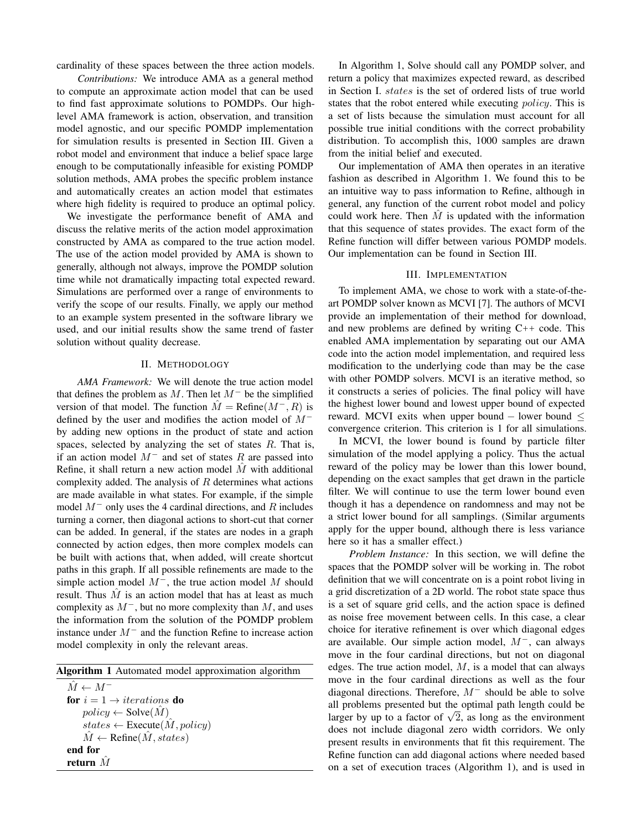cardinality of these spaces between the three action models.

*Contributions:* We introduce AMA as a general method to compute an approximate action model that can be used to find fast approximate solutions to POMDPs. Our highlevel AMA framework is action, observation, and transition model agnostic, and our specific POMDP implementation for simulation results is presented in Section III. Given a robot model and environment that induce a belief space large enough to be computationally infeasible for existing POMDP solution methods, AMA probes the specific problem instance and automatically creates an action model that estimates where high fidelity is required to produce an optimal policy.

We investigate the performance benefit of AMA and discuss the relative merits of the action model approximation constructed by AMA as compared to the true action model. The use of the action model provided by AMA is shown to generally, although not always, improve the POMDP solution time while not dramatically impacting total expected reward. Simulations are performed over a range of environments to verify the scope of our results. Finally, we apply our method to an example system presented in the software library we used, and our initial results show the same trend of faster solution without quality decrease.

# II. METHODOLOGY

*AMA Framework:* We will denote the true action model that defines the problem as  $M$ . Then let  $M^-$  be the simplified version of that model. The function  $\hat{M} = \text{Refine}(M^-, R)$  is defined by the user and modifies the action model of M<sup>−</sup> by adding new options in the product of state and action spaces, selected by analyzing the set of states R. That is, if an action model  $M^-$  and set of states R are passed into Refine, it shall return a new action model  $\hat{M}$  with additional complexity added. The analysis of  $R$  determines what actions are made available in what states. For example, if the simple model  $M^-$  only uses the 4 cardinal directions, and R includes turning a corner, then diagonal actions to short-cut that corner can be added. In general, if the states are nodes in a graph connected by action edges, then more complex models can be built with actions that, when added, will create shortcut paths in this graph. If all possible refinements are made to the simple action model  $M^-$ , the true action model M should result. Thus  $\hat{M}$  is an action model that has at least as much complexity as  $M^-$ , but no more complexity than M, and uses the information from the solution of the POMDP problem instance under M<sup>−</sup> and the function Refine to increase action model complexity in only the relevant areas.

Algorithm 1 Automated model approximation algorithm

 $\hat{M} \leftarrow M^$ for  $i = 1 \rightarrow iterations$  do  $policy \leftarrow Solve(M)$  $states \leftarrow$  Execute $(\hat{M}, policy)$  $\tilde{M} \leftarrow$  Refine( $\tilde{M}$ , states) end for return  $M$ 

In Algorithm 1, Solve should call any POMDP solver, and return a policy that maximizes expected reward, as described in Section I. states is the set of ordered lists of true world states that the robot entered while executing *policy*. This is a set of lists because the simulation must account for all possible true initial conditions with the correct probability distribution. To accomplish this, 1000 samples are drawn from the initial belief and executed.

Our implementation of AMA then operates in an iterative fashion as described in Algorithm 1. We found this to be an intuitive way to pass information to Refine, although in general, any function of the current robot model and policy could work here. Then  $M$  is updated with the information that this sequence of states provides. The exact form of the Refine function will differ between various POMDP models. Our implementation can be found in Section III.

## III. IMPLEMENTATION

To implement AMA, we chose to work with a state-of-theart POMDP solver known as MCVI [7]. The authors of MCVI provide an implementation of their method for download, and new problems are defined by writing  $C++$  code. This enabled AMA implementation by separating out our AMA code into the action model implementation, and required less modification to the underlying code than may be the case with other POMDP solvers. MCVI is an iterative method, so it constructs a series of policies. The final policy will have the highest lower bound and lowest upper bound of expected reward. MCVI exits when upper bound − lower bound ≤ convergence criterion. This criterion is 1 for all simulations.

In MCVI, the lower bound is found by particle filter simulation of the model applying a policy. Thus the actual reward of the policy may be lower than this lower bound, depending on the exact samples that get drawn in the particle filter. We will continue to use the term lower bound even though it has a dependence on randomness and may not be a strict lower bound for all samplings. (Similar arguments apply for the upper bound, although there is less variance here so it has a smaller effect.)

*Problem Instance:* In this section, we will define the spaces that the POMDP solver will be working in. The robot definition that we will concentrate on is a point robot living in a grid discretization of a 2D world. The robot state space thus is a set of square grid cells, and the action space is defined as noise free movement between cells. In this case, a clear choice for iterative refinement is over which diagonal edges are available. Our simple action model, M<sup>−</sup>, can always move in the four cardinal directions, but not on diagonal edges. The true action model,  $M$ , is a model that can always move in the four cardinal directions as well as the four diagonal directions. Therefore, M<sup>−</sup> should be able to solve all problems presented but the optimal path length could be all problems presented but the optimal path length could be<br>larger by up to a factor of  $\sqrt{2}$ , as long as the environment does not include diagonal zero width corridors. We only present results in environments that fit this requirement. The Refine function can add diagonal actions where needed based on a set of execution traces (Algorithm 1), and is used in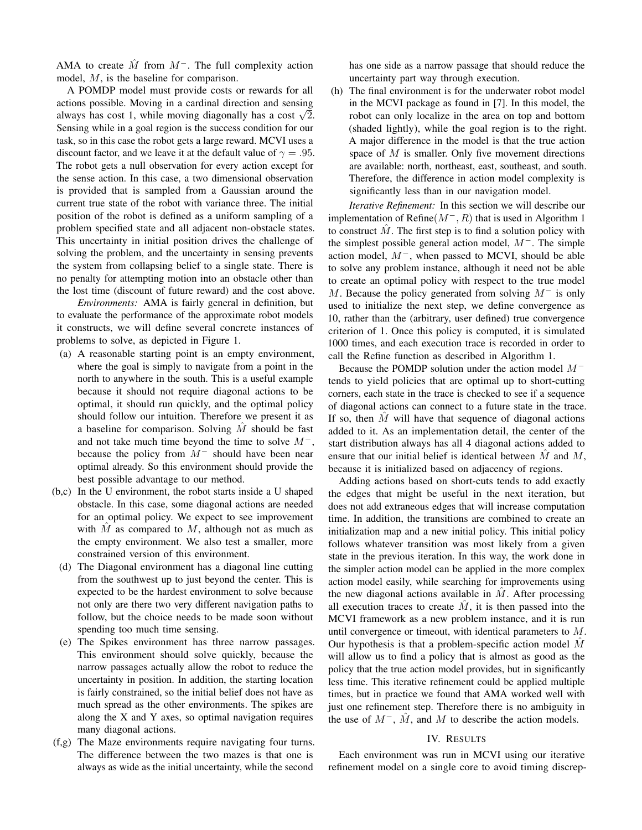AMA to create  $\hat{M}$  from  $M^-$ . The full complexity action model, M, is the baseline for comparison.

A POMDP model must provide costs or rewards for all actions possible. Moving in a cardinal direction and sensing actions possible. Moving in a cardinal direction and sensing<br>always has cost 1, while moving diagonally has a cost  $\sqrt{2}$ . Sensing while in a goal region is the success condition for our task, so in this case the robot gets a large reward. MCVI uses a discount factor, and we leave it at the default value of  $\gamma = .95$ . The robot gets a null observation for every action except for the sense action. In this case, a two dimensional observation is provided that is sampled from a Gaussian around the current true state of the robot with variance three. The initial position of the robot is defined as a uniform sampling of a problem specified state and all adjacent non-obstacle states. This uncertainty in initial position drives the challenge of solving the problem, and the uncertainty in sensing prevents the system from collapsing belief to a single state. There is no penalty for attempting motion into an obstacle other than the lost time (discount of future reward) and the cost above.

*Environments:* AMA is fairly general in definition, but to evaluate the performance of the approximate robot models it constructs, we will define several concrete instances of problems to solve, as depicted in Figure 1.

- (a) A reasonable starting point is an empty environment, where the goal is simply to navigate from a point in the north to anywhere in the south. This is a useful example because it should not require diagonal actions to be optimal, it should run quickly, and the optimal policy should follow our intuition. Therefore we present it as a baseline for comparison. Solving  $M$  should be fast and not take much time beyond the time to solve  $M^-,$ because the policy from  $M^-$  should have been near optimal already. So this environment should provide the best possible advantage to our method.
- (b,c) In the U environment, the robot starts inside a U shaped obstacle. In this case, some diagonal actions are needed for an optimal policy. We expect to see improvement with  $\hat{M}$  as compared to  $M$ , although not as much as the empty environment. We also test a smaller, more constrained version of this environment.
	- (d) The Diagonal environment has a diagonal line cutting from the southwest up to just beyond the center. This is expected to be the hardest environment to solve because not only are there two very different navigation paths to follow, but the choice needs to be made soon without spending too much time sensing.
	- (e) The Spikes environment has three narrow passages. This environment should solve quickly, because the narrow passages actually allow the robot to reduce the uncertainty in position. In addition, the starting location is fairly constrained, so the initial belief does not have as much spread as the other environments. The spikes are along the X and Y axes, so optimal navigation requires many diagonal actions.
- (f,g) The Maze environments require navigating four turns. The difference between the two mazes is that one is always as wide as the initial uncertainty, while the second

has one side as a narrow passage that should reduce the uncertainty part way through execution.

(h) The final environment is for the underwater robot model in the MCVI package as found in [7]. In this model, the robot can only localize in the area on top and bottom (shaded lightly), while the goal region is to the right. A major difference in the model is that the true action space of M is smaller. Only five movement directions are available: north, northeast, east, southeast, and south. Therefore, the difference in action model complexity is significantly less than in our navigation model.

*Iterative Refinement:* In this section we will describe our implementation of Refine $(M^-, R)$  that is used in Algorithm 1 to construct  $\tilde{M}$ . The first step is to find a solution policy with the simplest possible general action model,  $M^-$ . The simple action model,  $M^-$ , when passed to MCVI, should be able to solve any problem instance, although it need not be able to create an optimal policy with respect to the true model M. Because the policy generated from solving  $M^-$  is only used to initialize the next step, we define convergence as 10, rather than the (arbitrary, user defined) true convergence criterion of 1. Once this policy is computed, it is simulated 1000 times, and each execution trace is recorded in order to call the Refine function as described in Algorithm 1.

Because the POMDP solution under the action model M<sup>−</sup> tends to yield policies that are optimal up to short-cutting corners, each state in the trace is checked to see if a sequence of diagonal actions can connect to a future state in the trace. If so, then  $\overline{M}$  will have that sequence of diagonal actions added to it. As an implementation detail, the center of the start distribution always has all 4 diagonal actions added to ensure that our initial belief is identical between  $\tilde{M}$  and  $\tilde{M}$ , because it is initialized based on adjacency of regions.

Adding actions based on short-cuts tends to add exactly the edges that might be useful in the next iteration, but does not add extraneous edges that will increase computation time. In addition, the transitions are combined to create an initialization map and a new initial policy. This initial policy follows whatever transition was most likely from a given state in the previous iteration. In this way, the work done in the simpler action model can be applied in the more complex action model easily, while searching for improvements using the new diagonal actions available in  $M$ . After processing all execution traces to create  $\tilde{M}$ , it is then passed into the MCVI framework as a new problem instance, and it is run until convergence or timeout, with identical parameters to M. Our hypothesis is that a problem-specific action model  $\tilde{M}$ will allow us to find a policy that is almost as good as the policy that the true action model provides, but in significantly less time. This iterative refinement could be applied multiple times, but in practice we found that AMA worked well with just one refinement step. Therefore there is no ambiguity in the use of  $M^-$ ,  $\tilde{M}$ , and  $\tilde{M}$  to describe the action models.

# IV. RESULTS

Each environment was run in MCVI using our iterative refinement model on a single core to avoid timing discrep-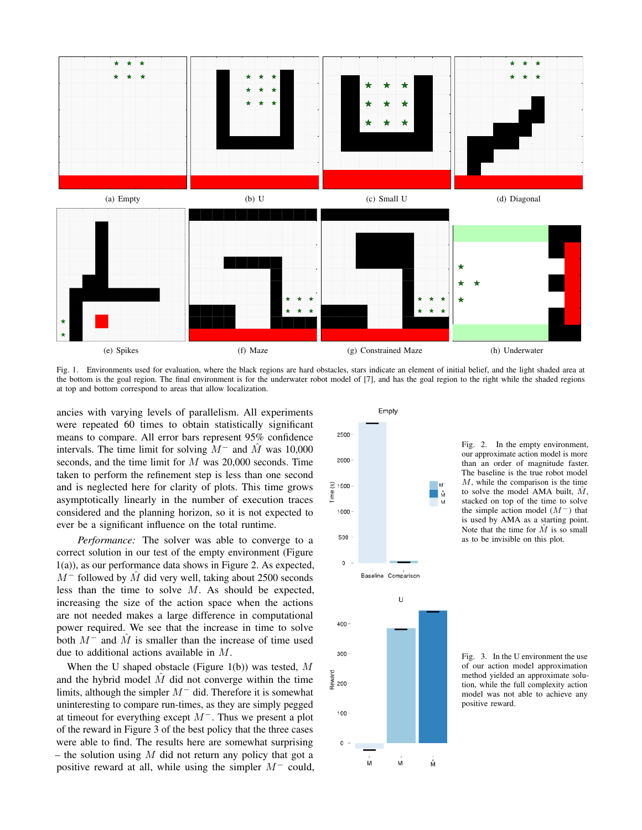

Fig. 1. Environments used for evaluation, where the black regions are hard obstacles, stars indicate an element of initial belief, and the light shaded area at the bottom is the goal region. The final environment is for the underwater robot model of [7], and has the goal region to the right while the shaded regions at top and bottom correspond to areas that allow localization.

ancies with varying levels of parallelism. All experiments were repeated 60 times to obtain statistically significant means to compare. All error bars represent 95% confidence intervals. The time limit for solving  $M^-$  and M was 10,000 seconds, and the time limit for M was 20,000 seconds. Time taken to perform the refinement step is less than one second and is neglected here for clarity of plots. This time grows asymptotically linearly in the number of execution traces considered and the planning horizon, so it is not expected to ever be a significant influence on the total runtime.

*Performance:* The solver was able to converge to a correct solution in our test of the empty environment (Figure 1(a)), as our performance data shows in Figure 2. As expected,  $M^-$  followed by  $\hat{M}$  did very well, taking about 2500 seconds less than the time to solve M. As should be expected, increasing the size of the action space when the actions are not needed makes a large difference in computational power required. We see that the increase in time to solve both  $M^-$  and  $\hat{M}$  is smaller than the increase of time used due to additional actions available in M.

When the U shaped obstacle (Figure 1(b)) was tested,  $M$ and the hybrid model  $\tilde{M}$  did not converge within the time limits, although the simpler  $M^-$  did. Therefore it is somewhat uninteresting to compare run-times, as they are simply pegged at timeout for everything except  $M^-$ . Thus we present a plot of the reward in Figure 3 of the best policy that the three cases were able to find. The results here are somewhat surprising – the solution using  $M$  did not return any policy that got a positive reward at all, while using the simpler M<sup>−</sup> could,



Fig. 2. In the empty environment, our approximate action model is more than an order of magnitude faster. The baseline is the true robot model M, while the comparison is the time to solve the model AMA built,  $\hat{M}$ , stacked on top of the time to solve the simple action model  $(M^-)$  that is used by AMA as a starting point. Note that the time for  $\hat{M}$  is so small as to be invisible on this plot.

Fig. 3. In the U environment the use of our action model approximation method yielded an approximate solution, while the full complexity action model was not able to achieve any positive reward.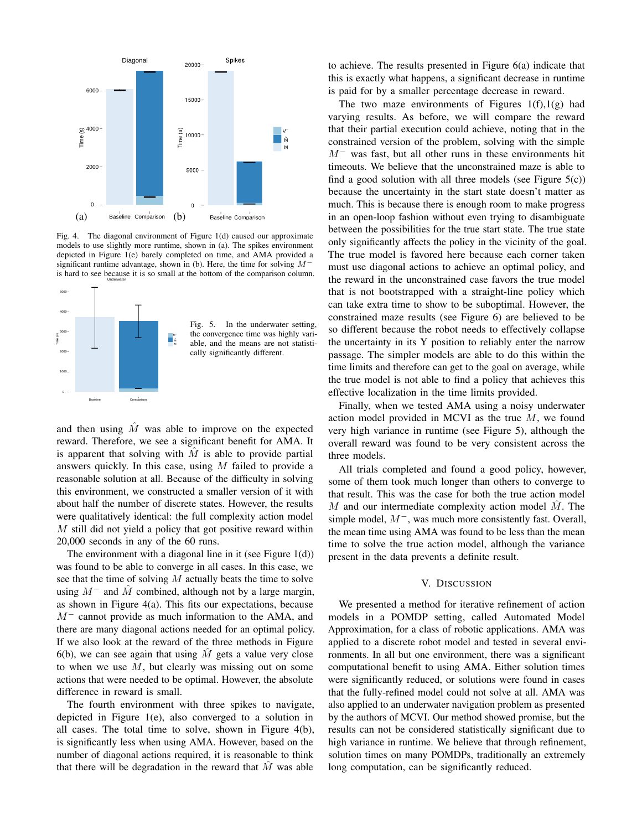

Fig. 4. The diagonal environment of Figure 1(d) caused our approximate models to use slightly more runtime, shown in (a). The spikes environment depicted in Figure 1(e) barely completed on time, and AMA provided a significant runtime advantage, shown in (b). Here, the time for solving M<sup>−</sup> is hard to see because it is so small at the bottom of the comparison column.



Fig. 5. In the underwater setting, the convergence time was highly variable, and the means are not statistically significantly different.

and then using  $\overline{M}$  was able to improve on the expected reward. Therefore, we see a significant benefit for AMA. It is apparent that solving with  $\tilde{M}$  is able to provide partial answers quickly. In this case, using M failed to provide a reasonable solution at all. Because of the difficulty in solving this environment, we constructed a smaller version of it with about half the number of discrete states. However, the results were qualitatively identical: the full complexity action model M still did not yield a policy that got positive reward within 20,000 seconds in any of the 60 runs.

The environment with a diagonal line in it (see Figure 1(d)) was found to be able to converge in all cases. In this case, we see that the time of solving  $M$  actually beats the time to solve using  $M^-$  and M combined, although not by a large margin, as shown in Figure 4(a). This fits our expectations, because M<sup>−</sup> cannot provide as much information to the AMA, and there are many diagonal actions needed for an optimal policy. If we also look at the reward of the three methods in Figure 6(b), we can see again that using  $M$  gets a value very close to when we use  $M$ , but clearly was missing out on some actions that were needed to be optimal. However, the absolute difference in reward is small.

The fourth environment with three spikes to navigate, depicted in Figure 1(e), also converged to a solution in all cases. The total time to solve, shown in Figure 4(b), is significantly less when using AMA. However, based on the number of diagonal actions required, it is reasonable to think that there will be degradation in the reward that  $M$  was able

to achieve. The results presented in Figure 6(a) indicate that this is exactly what happens, a significant decrease in runtime is paid for by a smaller percentage decrease in reward.

The two maze environments of Figures  $1(f),1(g)$  had varying results. As before, we will compare the reward that their partial execution could achieve, noting that in the constrained version of the problem, solving with the simple  $M^-$  was fast, but all other runs in these environments hit timeouts. We believe that the unconstrained maze is able to find a good solution with all three models (see Figure  $5(c)$ ) because the uncertainty in the start state doesn't matter as much. This is because there is enough room to make progress in an open-loop fashion without even trying to disambiguate between the possibilities for the true start state. The true state only significantly affects the policy in the vicinity of the goal. The true model is favored here because each corner taken must use diagonal actions to achieve an optimal policy, and the reward in the unconstrained case favors the true model that is not bootstrapped with a straight-line policy which can take extra time to show to be suboptimal. However, the constrained maze results (see Figure 6) are believed to be so different because the robot needs to effectively collapse the uncertainty in its Y position to reliably enter the narrow passage. The simpler models are able to do this within the time limits and therefore can get to the goal on average, while the true model is not able to find a policy that achieves this effective localization in the time limits provided.

Finally, when we tested AMA using a noisy underwater action model provided in MCVI as the true M, we found very high variance in runtime (see Figure 5), although the overall reward was found to be very consistent across the three models.

All trials completed and found a good policy, however, some of them took much longer than others to converge to that result. This was the case for both the true action model  $M$  and our intermediate complexity action model  $\dot{M}$ . The simple model, M<sup>−</sup>, was much more consistently fast. Overall, the mean time using AMA was found to be less than the mean time to solve the true action model, although the variance present in the data prevents a definite result.

## V. DISCUSSION

We presented a method for iterative refinement of action models in a POMDP setting, called Automated Model Approximation, for a class of robotic applications. AMA was applied to a discrete robot model and tested in several environments. In all but one environment, there was a significant computational benefit to using AMA. Either solution times were significantly reduced, or solutions were found in cases that the fully-refined model could not solve at all. AMA was also applied to an underwater navigation problem as presented by the authors of MCVI. Our method showed promise, but the results can not be considered statistically significant due to high variance in runtime. We believe that through refinement, solution times on many POMDPs, traditionally an extremely long computation, can be significantly reduced.